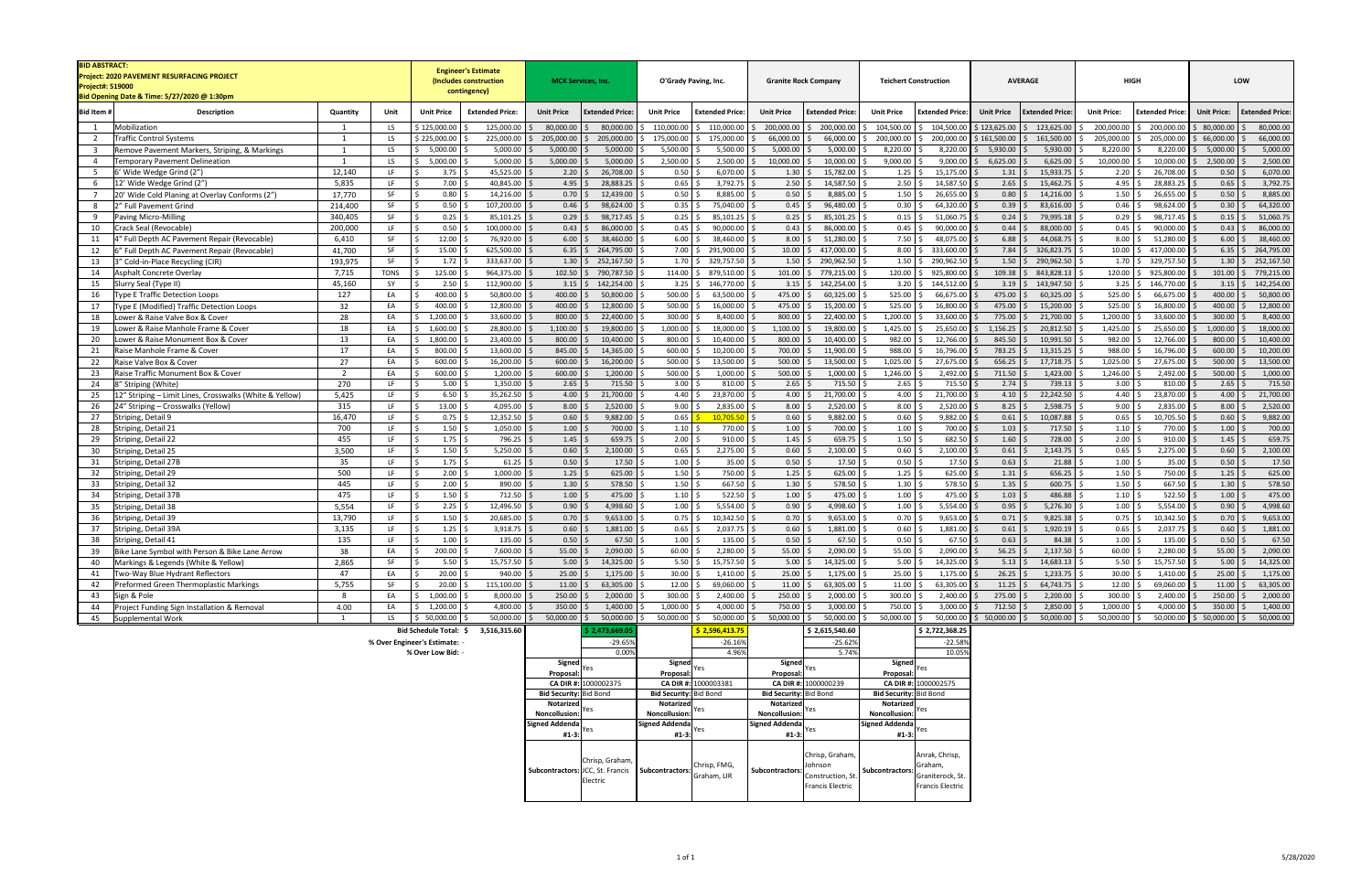| <b>BID ABSTRACT:</b><br>Project: 2020 PAVEMENT RESURFACING PROJECT<br><b>Project#: 519000</b><br>Bid Opening Date & Time: 5/27/2020 @ 1:30pm |                                                                         |                | <b>Engineer's Estimate</b><br>(Includes construction<br>contingency) |                               | <b>MCK Services, Inc.</b>         | O'Grady Paving, Inc.                               | <b>Granite Rock Company</b>                 | <b>Teichert Construction</b>                                     | <b>AVERAGE</b>                                 | <b>HIGH</b>                                  | LOW                                           |                                              |
|----------------------------------------------------------------------------------------------------------------------------------------------|-------------------------------------------------------------------------|----------------|----------------------------------------------------------------------|-------------------------------|-----------------------------------|----------------------------------------------------|---------------------------------------------|------------------------------------------------------------------|------------------------------------------------|----------------------------------------------|-----------------------------------------------|----------------------------------------------|
| Bid Item #                                                                                                                                   | Description                                                             | Quantity       | Unit                                                                 | <b>Unit Price</b>             | <b>Extended Price:</b>            | <b>Unit Price</b><br><b>Extended Price:</b>        | <b>Unit Price</b><br><b>Extended Price</b>  | <b>Unit Price</b><br><b>Extended Price</b>                       | <b>Unit Price</b><br><b>Extended Price:</b>    | <b>Unit Price</b><br><b>Extended Price</b>   | <b>Unit Price:</b><br><b>Extended Price:</b>  | <b>Unit Price:</b><br><b>Extended Price:</b> |
| 1                                                                                                                                            | Mobilization                                                            | $\mathbf{1}$   | LS                                                                   | \$125,000.00                  | 125,000.00                        | 80,000.00<br>80,000.00                             | \$110,000.00<br>\$110,000.00                | 200,000.00 \$ 200,000.00                                         | 104,500.00<br>\$104,500.00                     | $$123,625.00$ $$123,625.00$                  | 200,000.00<br>\$200,000.00                    | 80,000.00<br>80,000.00                       |
| $\overline{2}$                                                                                                                               | raffic Control Systems                                                  | 1              | LS                                                                   | \$225,000.00                  | 225,000.00                        | 205,000.00<br>205,000.00                           | 175,000.00<br>175,000.0                     | 66,000.00<br>66,000.00                                           | 200,000.00<br>200,000.00                       | \$161,500.00<br>\$161,500.00                 | 205,000.00<br>205,000.00                      | 66,000.00<br>66,000.00                       |
| $\overline{\mathbf{3}}$                                                                                                                      | emove Pavement Markers, Striping, & Markings                            | 1              | LS.                                                                  | 5,000.00                      | 5,000.00                          | 5,000.00<br>5,000.00                               | 5,500.00<br>5,500.00                        | 5,000.00<br>5,000.00                                             | 8,220.00<br>8,220.00                           | 5,930.00<br>5,930.00                         | 8,220.00<br>8,220.00                          | 5,000.00<br>5,000.00                         |
| $\overline{4}$                                                                                                                               | emporary Pavement Delineation                                           | 1              | LS                                                                   | 5,000.00                      | 5,000.00                          | 5,000.00<br>5,000.00                               | 2,500.00<br>2,500.00                        | 10,000.00<br>10,000.00                                           | 9,000.00<br>9,000.00                           | $6,625.00$ \$<br>6,625.00                    | 10,000.00<br>10,000.0                         | 2,500.00<br>2,500.00                         |
| 5                                                                                                                                            | Wide Wedge Grind (2")                                                   | 12,140         | LF.                                                                  | 3.75                          | 45,525.00                         | 2.20<br>26,708.00                                  | 6,070.00<br>0.50                            | $1.30 \pm 5$<br>15,782.00                                        | 1.25<br>15,175.00                              | 15,933.7<br>$1.31 \pm 5$                     | 26,708.00<br>2.20                             | 6,070.00<br>0.50                             |
| 6                                                                                                                                            | 12' Wide Wedge Grind (2"                                                | 5,835          | LF.                                                                  | 7.00                          | 40,845.00                         | 4.95<br>28,883.25                                  | 3,792.75<br>0.65                            | $2.50$ $\frac{1}{3}$<br>14,587.50                                | 2.50<br>14,587.50                              | 2.65<br>15,462.7                             | 4.95<br>28,883.25                             | 0.65<br>3,792.75                             |
| $\overline{7}$                                                                                                                               | 20' Wide Cold Planing at Overlay Conforms (2")                          | 17,770         | SF                                                                   | 0.80                          | 14,216.00                         | 0.70<br>12,439.00                                  | 0.50<br>8,885.00                            | $0.50$ \$<br>8,885.00                                            | 1.50<br>26,655.00                              | $0.80$ \$<br>14,216.00                       | 1.50<br>26,655.00                             | 0.50<br>8,885.00                             |
| 8                                                                                                                                            | " Full Pavement Grind                                                   | 214,400        | SF                                                                   | 0.50                          | 107,200.00                        | 0.46<br>98,624.00                                  | 75,040.00<br>0.35                           | $0.45$ \$<br>96,480.00                                           | 0.30<br>64,320.00                              | 0.39<br>83,616.00                            | 0.46<br>98,624.00                             | 64,320.00<br>0.30                            |
| 9                                                                                                                                            | Paving Micro-Milling                                                    | 340,405        | SF                                                                   | 0.25                          | 85,101.25                         | 0.29<br>98,717.45                                  | 0.25<br>85,101.25                           | $0.25$ \$<br>85,101.25                                           | 0.15<br>51,060.7                               | 0.24<br>79,995.1                             | 0.29<br>98,717.45                             | 0.15<br>51,060.75                            |
| 10                                                                                                                                           | ːrack Seal (Revocable)                                                  | 200,000        | LF.                                                                  | 0.50                          | 100,000.00                        | 0.43<br>86,000.00                                  | 0.45<br>90,000.00                           | $0.43 \quad $5$<br>86,000.00                                     | 0.45<br>90,000.00                              | 0.44<br>88,000.00                            | 0.45<br>90,000.00                             | 0.43<br>86,000.00                            |
| 11                                                                                                                                           | Full Depth AC Pavement Repair (Revocable)                               | 6,410          | SF                                                                   | 12.00                         | 76,920.00                         | 6.00<br>38,460.00                                  | 38,460.00<br>6.00                           | 8.00%<br>51,280.00                                               | 7.50<br>48,075.00                              | 6.88<br>44,068.7                             | 8.00%<br>51,280.0                             | 38,460.00<br>6.00                            |
| 12                                                                                                                                           | Full Depth AC Pavement Repair (Revocable)                               | 41,700         | SF                                                                   | 15.00                         | 625,500.00                        | 6.35<br>264,795.00<br><sup>S</sup>                 | 7.00<br>291,900.00                          | $10.00$ \$<br>417,000.00                                         | 8.00<br>333,600.00                             | $7.84 \,$ \$<br>326,823.7                    | 10.00<br>417,000.0                            | 6.35<br>264,795.00                           |
| 13                                                                                                                                           | ' Cold-in-Place Recycling (CIR)                                         | 193,975        | SF                                                                   | 1.72                          | 333,637.00                        | 1.30<br>252,167.50                                 | 1.70<br>329,757.50                          | $1.50 \,$ \$<br>290,962.50                                       | 1.50<br>290,962.50                             | 1.50<br>290,962.50                           | 1.70<br>329,757.50                            | 1.30<br>252,167.50                           |
| 14                                                                                                                                           | <b>Asphalt Concrete Overlay</b>                                         | 7,715          | <b>TONS</b>                                                          | 125.00                        | 964,375.00                        | 102.50<br>790,787.50                               | 114.00<br>879,510.00                        | $101.00$ \$<br>779,215.00                                        | 120.00<br>925,800.00                           | $109.38$ \$<br>843,828.1                     | 120.00<br>925,800.00                          | 101.00<br>779,215.00                         |
| 15                                                                                                                                           | Slurry Seal (Type II)                                                   | 45,160         | SY                                                                   | 2.50                          | 112,900.00                        | 3.15<br>142,254.00                                 | 3.25<br>146,770.00                          | $3.15$ \$<br>142,254.00                                          | 3.20<br>144,512.00<br><sub>S</sub>             | $3.19$ \$<br>143,947.50                      | 3.25<br>146,770.00                            | 142,254.00<br>3.15                           |
| 16                                                                                                                                           | ype E Traffic Detection Loops                                           | 127            | EA                                                                   | 400.00                        | 50,800.00                         | 400.00<br>50,800.00                                | 500.00<br>63,500.00                         | 475.00<br>60,325.00                                              | 525.00<br>66,675.00                            | 475.00<br>60,325.00                          | 525.00<br>66,675.00                           | 400.00<br>50,800.00                          |
| 17                                                                                                                                           | ype E (Modified) Traffic Detection Loops                                | 32             | EA                                                                   | 400.00                        | 12,800.00                         | 400.00<br>12,800.00                                | 500.00<br>16,000.00                         | 475.00<br>15,200.00                                              | 525.00<br>16,800.00<br>1,200.00                | 475.00<br>15,200.00                          | 525.00<br>16,800.0                            | 400.00<br>12,800.00                          |
| 18                                                                                                                                           | ower & Raise Valve Box & Cover                                          | 28<br>18       | EA<br>EA                                                             | 1,200.00<br>1,600.00          | 33,600.00<br>28,800.00            | 800.00<br>22,400.00<br>1,100.00<br>19,800.00       | 300.00<br>8,400.00<br>1,000.00<br>18,000.00 | 800.00<br>22,400.00<br>1,100.00<br>19,800.00                     | 33,600.00<br>1,425.00<br>25,650.00             | 775.00<br>21,700.00<br>1,156.25<br>20,812.50 | 1,200.00<br>33,600.0<br>1,425.00<br>25,650.00 | 300.00<br>8,400.00<br>1,000.00<br>18,000.00  |
| 19<br>20                                                                                                                                     | ower & Raise Manhole Frame & Cover<br>ower & Raise Monument Box & Cover | 13             | EA                                                                   | 1,800.00                      | 23,400.00                         | 800.00<br>10,400.00                                | 800.00<br>10,400.00                         | 800.00<br>10,400.00                                              | 982.00<br>12,766.00                            | 845.50<br>10,991.50                          | 982.00<br>12,766.00                           | 800.00<br>10,400.00                          |
| 21                                                                                                                                           | Raise Manhole Frame & Cover                                             | 17             | EA                                                                   | 800.00                        | 13,600.00                         | 845.00<br>14,365.00                                | 600.00<br>10,200.00                         | 700.00<br>11,900.00                                              | 988.00<br>16,796.00                            | 13,315.25<br>783.25                          | 16,796.00<br>988.00                           | 600.00<br>10,200.00                          |
| 22                                                                                                                                           | aise Valve Box & Cover                                                  | 27             | EA                                                                   | 600.00                        | 16,200.00                         | 600.00<br>16,200.00                                | 500.00<br>13,500.00                         | 500.00<br>13,500.00                                              | 1,025.00<br>27,675.00                          | 656.25<br>17,718.75                          | 1,025.00<br>27,675.00                         | 500.00<br>13,500.00                          |
| 23                                                                                                                                           | aise Traffic Monument Box & Cover                                       | $\overline{2}$ | EA                                                                   | 600.00                        | 1,200.00                          | 600.00<br>1,200.00                                 | 500.00<br>1,000.00                          | 500.00<br>1,000.00                                               | 1,246.00<br>2,492.00                           | $711.50$ \$<br>1,423.00                      | 1,246.00<br>2,492.00                          | 500.00<br>1,000.00                           |
| 24                                                                                                                                           | " Striping (White)                                                      | 270            | LF.                                                                  | $5.00$ :                      | 1,350.00                          | 2.65<br>715.50                                     | 810.00<br>3.00                              | 2.65<br>715.50                                                   | 2.65<br>715.50                                 | $2.74$ \$<br>739.13                          | 810.00<br>3.00                                | 2.65<br>715.50                               |
| 25                                                                                                                                           | 2" Striping - Limit Lines, Crosswalks (White & Yellow)                  | 5,425          | LF.                                                                  | $6.50$ :                      | 35,262.50                         | 4.00<br>21,700.00                                  | 4.40<br>23,870.00                           | $4.00$ \$<br>21,700.00                                           | 4.00<br>21,700.00                              | $4.10 \,$ \$<br>22,242.50                    | 4.40<br>23,870.0                              | 4.00<br>21,700.00                            |
| 26                                                                                                                                           | 4" Striping - Crosswalks (Yellow)                                       | 315            | LF.                                                                  | 13.00                         | 4,095.00                          | 8.00<br>2,520.00                                   | 2,835.00<br>9.00                            | 8.00<br>2,520.00                                                 | 8.00<br>2,520.00                               | 8.25<br>2,598.7                              | 9.00<br>2,835.00                              | 8.00<br>2,520.00                             |
| 27                                                                                                                                           | triping, Detail 9                                                       | 16,470         | LF.                                                                  | 0.75                          | 12,352.50                         | 0.60<br>$9,882.00$ \$                              | 0.65<br>$10,705.50$ \$                      | $0.60$ \$<br>9,882.00                                            | 0.60<br>9,882.00                               | $0.61 \,$ \$<br>10,087.88                    | 0.65<br>10,705.50                             | 0.60<br>9,882.00                             |
| 28                                                                                                                                           | striping, Detail 21                                                     | 700            | LF.                                                                  | 1.50                          | 1,050.00                          | 1.00<br>700.00                                     | 1.10<br>770.00                              | 1.00<br>700.00                                                   | 1.00<br>700.00                                 | 1.03<br>717.50                               | 1.10<br>770.00                                | 1.00<br>700.00                               |
| 29                                                                                                                                           | triping, Detail 22                                                      | 455            | LF.                                                                  | 1.75                          | 796.25                            | 1.45<br>659.75                                     | 910.00<br>2.00                              | $1.45$ \$<br>659.75                                              | 1.50<br>682.50                                 | 1.60%<br>728.00                              | 2.00<br>910.00                                | 1.45<br>659.75                               |
| 30                                                                                                                                           | triping, Detail 25                                                      | 3,500          | LF.                                                                  | $1.50$ \$                     | 5,250.00                          | $0.60$ \$<br>$2,100.00$ \$                         | 0.65<br>2,275.00                            | $0.60$ \$<br>2,100.00                                            | 0.60<br>2,100.00                               | $0.61$ \$<br>2,143.75                        | 0.65<br>2,275.00                              | 0.60<br>2,100.00                             |
| 31                                                                                                                                           | Striping, Detail 27B                                                    | 35             | <b>LF</b>                                                            | $1.75$ \$                     | 61.25                             | 0.50<br>17.50                                      | 1.00<br>35.00                               | $0.50$ \$<br>17.50                                               | 0.50<br>17.50                                  | 0.63<br>21.88                                | 1.00<br>35.00                                 | 0.50<br>17.50                                |
| 32                                                                                                                                           | triping, Detail 29                                                      | 500            | LF.                                                                  | 2.00                          | 1,000.00                          | $1.25$ \$<br>625.00                                | 1.50<br>750.00                              | $1.25$ \$<br>625.00                                              | 1.25<br>625.00                                 | $1.31 \,$ \$<br>656.25                       | 1.50<br>750.00                                | 625.00<br>1.25                               |
| 33                                                                                                                                           | triping, Detail 32                                                      | 445            | LF.                                                                  | $2.00$ \$                     | 890.00                            | $1.30 \;$ \$<br>$578.50$ \$                        | 1.50<br>667.50                              | $1.30 \pm 5$<br>578.50                                           | 1.30<br>578.50                                 | $1.35$ \$<br>600.75                          | $1.50$ \$<br>667.50                           | 1.30<br>578.50                               |
| 34                                                                                                                                           | striping, Detail 37B                                                    | 475            | LF.                                                                  | $1.50$ \$                     | 712.50                            | 1.00<br>475.00                                     | 522.50<br>1.10                              | $1.00$ \$<br>475.00                                              | 1.00<br>475.00                                 | 1.03<br>486.88                               | 522.50<br>1.10                                | 475.00<br>1.00                               |
| 35                                                                                                                                           | triping, Detail 38                                                      | 5,554          | LF                                                                   | 2.25                          | 12,496.50                         | 0.90<br>4,998.60                                   | 5,554.00<br>1.00                            | 0.90<br>4,998.60                                                 | 1.00<br>5,554.00                               | 0.95<br>5,276.30                             | 5,554.00<br>1.00                              | 4,998.60<br>0.90                             |
| 36                                                                                                                                           | triping, Detail 39                                                      | 13,790         | LF.                                                                  | 1.50                          | 20,685.00                         | 0.70<br>9,653.00                                   | 0.75<br>10,342.50                           | $0.70$ \$<br>9,653.00                                            | 0.70<br>9,653.00                               | $0.71$ \$<br>9,825.38                        | 0.75<br>10,342.50                             | 0.70<br>9,653.00                             |
| 37                                                                                                                                           | Striping, Detail 39A                                                    | 3,135          | LF.                                                                  | 1.25                          | 3,918.75                          | 1,881.00<br>0.60                                   | 0.65<br>2,037.75                            | $0.60$ \$<br>1,881.00                                            | 1,881.00<br>0.60                               | 1,920.19<br>$0.61 \;$ \$                     | 0.65<br>2,037.75                              | 1,881.00<br>0.60                             |
| 38                                                                                                                                           | triping, Detail 41                                                      | 135            | LF                                                                   | 1.00                          | 135.00                            | 0.50<br>67.50                                      | 1.00<br>135.00                              | 0.50<br>67.50                                                    | 0.50<br>67.50                                  | 0.63<br>84.38                                | 1.00<br>135.00                                | 0.50<br>67.50                                |
| 39                                                                                                                                           | Bike Lane Symbol with Person & Bike Lane Arrow                          | 38             | EA                                                                   | $200.00$ \$                   | 7,600.00                          | 55.00<br>2,090.00                                  | 60.00<br>$2,280.00$ \$                      | $55.00$ \$<br>2,090.00                                           | 55.00<br>2,090.00                              | $56.25$ \$<br>2,137.50                       | 60.00<br>2,280.00                             | 55.00<br>2,090.00                            |
| 40                                                                                                                                           | Markings & Legends (White & Yellow)                                     | 2,865          | SF                                                                   | $5.50 \pm 5$                  | 15,757.50                         | $5.00 \div 14,325.00 \div$                         | $5.50\%$<br>15,757.50 \$                    | 5.00 \$ 14,325.00                                                | $5.00 \pm 1$<br>14,325.00                      | $5.13$ \$ 14,683.13                          | $5.50\frac{1}{5}$<br>15,757.50                | $5.00 \div 14,325.00$                        |
| 41                                                                                                                                           | Two-Way Blue Hydrant Reflectors                                         | 47             | EA                                                                   | $20.00$ \$                    | 940.00                            | $1,175.00$ \$<br>$25.00$   \$                      | 30.00<br>$1,410.00$ \$                      | $25.00$ \$<br>1,175.00                                           | $25.00$ \$<br>1,175.00                         | $26.25$ \$<br>1,233.75                       | $30.00$ \$<br>1,410.00                        | 25.00<br>1,175.00                            |
| 42                                                                                                                                           | Preformed Green Thermoplastic Markings                                  | 5,755          | SF                                                                   | $20.00$ \$                    | 115,100.00                        | $11.00$ \$<br>63,305.00 \$                         | 12.00<br>69,060.00 \$                       | $11.00$ \$<br>63,305.00                                          | $11.00 \div$<br>63,305.00                      | $11.25$ \$<br>64,743.75                      | $12.00$ \$<br>69,060.00                       | 11.00<br>63,305.00                           |
| 43                                                                                                                                           | Sign & Pole                                                             | 8              | EA                                                                   | $1,000.00$ \$                 | 8,000.00                          | 250.00<br>2,000.00                                 | 300.00<br>2,400.00                          | $250.00$ \$<br>2,000.00                                          | 300.00<br>2,400.00                             | $275.00$ \$<br>2,200.00                      | $300.00$ \$<br>2,400.00                       | 250.00<br>2,000.00                           |
| 44                                                                                                                                           | Project Funding Sign Installation & Removal                             | 4.00           | EA                                                                   | $1,200.00$ \$                 | 4,800.00                          | 1,400.00<br>350.00                                 | 1,000.00<br>4,000.00                        | 750.00<br>3,000.00                                               | 750.00<br>3,000.00                             | 712.50 \$<br>2,850.00                        | 1,000.00<br>4,000.00                          | 350.00<br>1,400.00                           |
| 45                                                                                                                                           | Supplemental Work                                                       | 1              | LS                                                                   | \$50,000.00                   | 50,000.00                         | 50,000.00<br>$50,000.00$ \$                        | 50,000.00<br>50,000.00 \$<br>$\mathsf{S}$   | 50,000.00<br>50,000.00 \$                                        | 50,000.00 \$<br>50,000.00                      | $$50,000.00$ \$<br>50,000.00                 | $50,000.00$ \$ 50,000.00 \$ 50,000.00 \$      | 50,000.00                                    |
|                                                                                                                                              |                                                                         |                |                                                                      | Bid Schedule Total: \$        | 3,516,315.60                      | \$2,473,669.0                                      | \$2,596,413.75                              | \$2,615,540.60                                                   | \$2,722,368.25                                 |                                              |                                               |                                              |
|                                                                                                                                              |                                                                         |                |                                                                      | % Over Engineer's Estimate: - |                                   | $-29.65%$                                          | $-26.16%$                                   | $-25.62%$                                                        | $-22.58%$                                      |                                              |                                               |                                              |
|                                                                                                                                              |                                                                         |                |                                                                      | % Over Low Bid: -             |                                   | 0.00%                                              | 4.96%                                       | 5.74%                                                            | 10.05%                                         |                                              |                                               |                                              |
|                                                                                                                                              |                                                                         |                |                                                                      |                               |                                   | <b>Signed</b><br>Yes<br>Proposal:                  | Signed<br>Yes                               | Signed<br>Proposal: Yes                                          | Signed<br>Yes<br>Proposal:                     |                                              |                                               |                                              |
|                                                                                                                                              |                                                                         |                |                                                                      | CA DIR #: 1000002375          | Proposal:<br>CA DIR #: 1000003381 | CA DIR #: 1000000239                               | CA DIR #: 1000002575                        |                                                                  |                                                |                                              |                                               |                                              |
|                                                                                                                                              |                                                                         |                |                                                                      |                               |                                   | <b>Bid Security: Bid Bond</b>                      | Bid Security: Bid Bond                      | Bid Security: Bid Bond                                           | <b>Bid Security: Bid Bond</b>                  |                                              |                                               |                                              |
|                                                                                                                                              |                                                                         |                |                                                                      |                               |                                   | Notarized                                          | Notarized                                   | Notarized<br>Yes                                                 | Notarized                                      |                                              |                                               |                                              |
|                                                                                                                                              |                                                                         |                |                                                                      |                               |                                   | Noncollusion:                                      | Noncollusion:                               | Noncollusion:                                                    | Yes<br>Noncollusion:                           |                                              |                                               |                                              |
|                                                                                                                                              |                                                                         |                |                                                                      |                               |                                   | signed Addenda                                     | <b>Signed Addenda</b>                       | Signed Addenda                                                   | Signed Addenda<br>Yes                          |                                              |                                               |                                              |
|                                                                                                                                              |                                                                         |                |                                                                      |                               |                                   | $#1-3:$                                            | $#1-3:$                                     | $\begin{array}{c} \text{} \\ \text{} \\ \text{} \end{array}$ Yes | $#1-3:$                                        |                                              |                                               |                                              |
|                                                                                                                                              |                                                                         |                |                                                                      |                               |                                   |                                                    |                                             |                                                                  |                                                |                                              |                                               |                                              |
|                                                                                                                                              |                                                                         |                |                                                                      |                               |                                   | Chrisp, Graham,                                    |                                             | Chrisp, Graham,                                                  | Anrak, Chrisp,                                 |                                              |                                               |                                              |
|                                                                                                                                              |                                                                         |                |                                                                      |                               |                                   | Subcontractors: JCC, St. Francis   Subcontractors: | Chrisp, FMG,<br>Graham, LIR                 | Johnson<br>Subcontractors: Construction, St.                     | Graham,<br>Subcontractors:<br>Graniterock, St. |                                              |                                               |                                              |
|                                                                                                                                              |                                                                         |                |                                                                      |                               |                                   | Electric                                           |                                             | Francis Electric                                                 | <b>Francis Electric</b>                        |                                              |                                               |                                              |